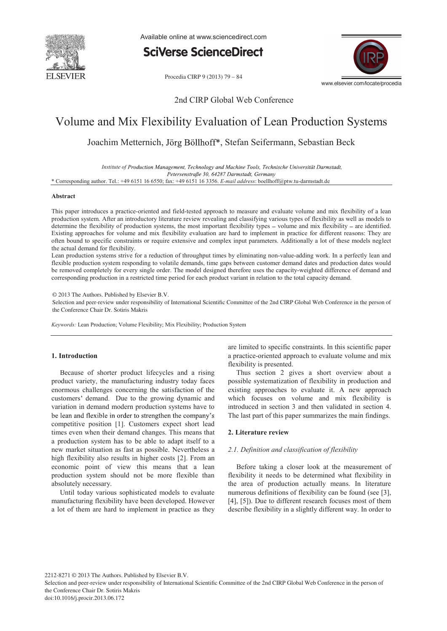

Available online at www.sciencedirect.com

**SciVerse ScienceDirect** 

Procedia CIRP 9 (2013) 79 - 84



### 2nd CIRP Global Web Conference

## Volume and Mix Flexibility Evaluation of Lean Production Systems

Joachim Metternich, Jörg Böllhoff\*, Stefan Seifermann, Sebastian Beck

*Institute of* Petersenstraße 30, 64287 Darmstadt, Germany

\* Corresponding author. Tel.: +49 6151 16 6550; fax: +49 6151 16 3356. *E-mail address*: boellhoff@ptw.tu-darmstadt.de

#### **Abstract**

This paper introduces a practice-oriented and field-tested approach to measure and evaluate volume and mix flexibility of a lean production system. After an introductory literature review revealing and classifying various types of flexibility as well as models to determine the flexibility of production systems, the most important flexibility types  $-$  volume and mix flexibility  $-$  are identified. Existing approaches for volume and mix flexibility evaluation are hard to implement in practice for different reasons: They are often bound to specific constraints or require extensive and complex input parameters. Additionally a lot of these models neglect the actual demand for flexibility.

Lean production systems strive for a reduction of throughput times by eliminating non-value-adding work. In a perfectly lean and flexible production system responding to volatile demands, time gaps between customer demand dates and production dates would be removed completely for every single order. The model designed therefore uses the capacity-weighted difference of demand and corresponding production in a restricted time period for each product variant in relation to the total capacity demand.

© 2013 The Authors. Published by Elsevier B.V.

Selection and peer-review under responsibility of International Scientific Committee of the 2nd CIRP Global Web Conference in the person of the Conference Chair Dr. Sotiris Makris

*Keywords:* Lean Production; Volume Flexibility; Mix Flexibility; Production System

#### **1. Introduction**

Because of shorter product lifecycles and a rising product variety, the manufacturing industry today faces enormous challenges concerning the satisfaction of the customers' demand. Due to the growing dynamic and variation in demand modern production systems have to be lean and flexible in order to strengthen the company's competitive position [1]. Customers expect short lead times even when their demand changes. This means that a production system has to be able to adapt itself to a new market situation as fast as possible. Nevertheless a high flexibility also results in higher costs [2]. From an economic point of view this means that a lean production system should not be more flexible than absolutely necessary.

Until today various sophisticated models to evaluate manufacturing flexibility have been developed. However a lot of them are hard to implement in practice as they are limited to specific constraints. In this scientific paper a practice-oriented approach to evaluate volume and mix flexibility is presented.

Thus section 2 gives a short overview about a possible systematization of flexibility in production and existing approaches to evaluate it. A new approach which focuses on volume and mix flexibility is introduced in section 3 and then validated in section 4. The last part of this paper summarizes the main findings.

#### **2. Literature review**

#### *2.1. Definition and classification of flexibility*

Before taking a closer look at the measurement of flexibility it needs to be determined what flexibility in the area of production actually means. In literature numerous definitions of flexibility can be found (see [3], [4], [5]). Due to different research focuses most of them describe flexibility in a slightly different way. In order to

2212-8271 © 2013 The Authors. Published by Elsevier B.V.

Selection and peer-review under responsibility of International Scientific Committee of the 2nd CIRP Global Web Conference in the person of the Conference Chair Dr. Sotiris Makris

doi: 10.1016/j.procir.2013.06.172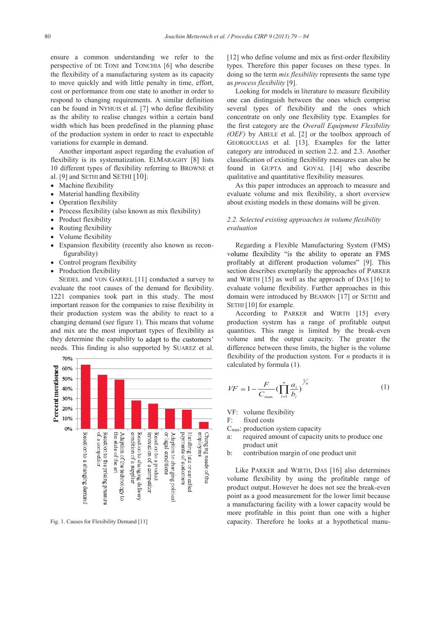ensure a common understanding we refer to the perspective of DE TONI and TONCHIA [6] who describe the flexibility of a manufacturing system as its capacity to move quickly and with little penalty in time, effort, cost or performance from one state to another in order to respond to changing requirements. A similar definition can be found in NYHUIS et al. [7] who define flexibility as the ability to realise changes within a certain band width which has been predefined in the planning phase of the production system in order to react to expectable variations for example in demand.

Another important aspect regarding the evaluation of flexibility is its systematization. ELMARAGHY [8] lists 10 different types of flexibility referring to BROWNE et al. [9] and SETHI and SETHI [10]:

- Machine flexibility
- Material handling flexibility
- Operation flexibility  $\bullet$
- Process flexibility (also known as mix flexibility)
- Product flexibility
- Routing flexibility
- Volume flexibility
- Expansion flexibility (recently also known as reconfigurability)
- Control program flexibility
- Production flexibility

SEIDEL and VON GARREL [11] conducted a survey to evaluate the root causes of the demand for flexibility. 1221 companies took part in this study. The most important reason for the companies to raise flexibility in their production system was the ability to react to a changing demand (see figure 1). This means that volume and mix are the most important types of flexibility as they determine the capability to adapt to the customers' needs. This finding is also supported by SUAREZ et al.



[12] who define volume and mix as first-order flexibility types. Therefore this paper focuses on these types. In doing so the term *mix flexibility* represents the same type as *process flexibility* [9].

Looking for models in literature to measure flexibility one can distinguish between the ones which comprise several types of flexibility and the ones which concentrate on only one flexibility type. Examples for the first category are the *Overall Equipment Flexibility (OEF)* by ABELE et al. [2] or the toolbox approach of GEORGOULIAS et al. [13]. Examples for the latter category are introduced in section 2.2. and 2.3. Another classification of existing flexibility measures can also be found in GUPTA and GOYAL [14] who describe qualitative and quantitative flexibility measures.

As this paper introduces an approach to measure and evaluate volume and mix flexibility, a short overview about existing models in these domains will be given.

#### *2.2. Selected existing approaches in volume flexibility evaluation*

Regarding a Flexible Manufacturing System (FMS) volume flexibility "is the ability to operate an FMS profitably at different production volumes" [9]. This section describes exemplarily the approaches of PARKER and WIRTH [15] as well as the approach of DAS [16] to evaluate volume flexibility. Further approaches in this domain were introduced by BEAMON [17] or SETHI and SETHI [10] for example.

According to PARKER and WIRTH [15] every production system has a range of profitable output quantities. This range is limited by the break-even volume and the output capacity. The greater the difference between these limits, the higher is the volume flexibility of the production system. For *n* products it is calculated by formula (1).

$$
VF = 1 - \frac{F}{C_{\text{max}}} \left( \prod_{i=1}^{n} \frac{a_i}{b_i} \right)^{\frac{1}{n}}
$$
 (1)

VF: volume flexibility

F: fixed costs

- $C<sub>max</sub>$ : production system capacity
- a: required amount of capacity units to produce one product unit
- b: contribution margin of one product unit

Like PARKER and WIRTH, DAS [16] also determines volume flexibility by using the profitable range of product output. However he does not see the break-even point as a good measurement for the lower limit because a manufacturing facility with a lower capacity would be more profitable in this point than one with a higher Fig. 1. Causes for Flexibility Demand [11] capacity. Therefore he looks at a hypothetical manu-